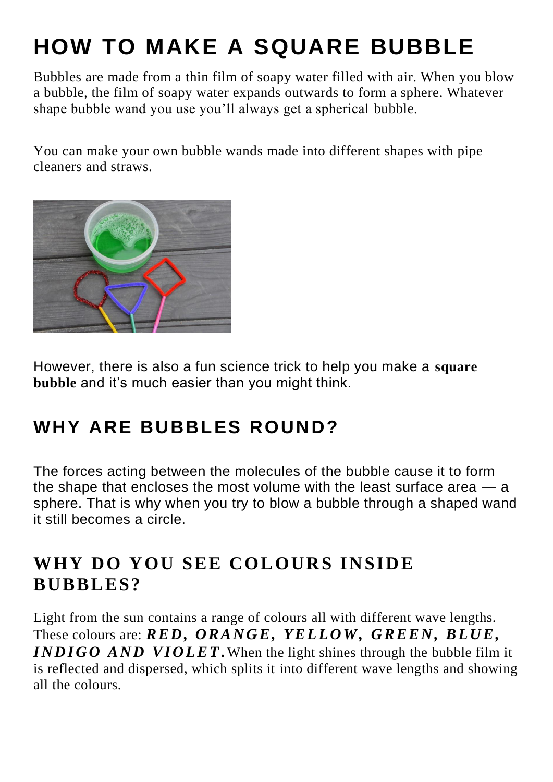# **HOW TO MAKE A SQUARE BUBBLE**

Bubbles are made from a thin film of soapy water filled with air. When you blow a bubble, the film of soapy water expands outwards to form a sphere. Whatever shape bubble wand you use you'll always get a spherical bubble.

You can make your own bubble wands made into different shapes with pipe cleaners and straws.



However, there is also a fun science trick to help you make a **square bubble** and it's much easier than you might think.

# **WHY ARE BUBBLES ROUND?**

The forces acting between the molecules of the bubble cause it to form the shape that encloses the most volume with the least surface area — a sphere. That is why when you try to blow a bubble through a shaped wand it still becomes a circle.

### WHY DO YOU SEE COLOURS INSIDE **BUBBLES?**

Light from the sun contains a range of colours all with different wave lengths. These colours are: *RED*, *ORANGE*, *YELLOW*, *GREEN*, *BLUE*, *INDIGO AND VIOLET*. When the light shines through the bubble film it is reflected and dispersed, which splits it into different wave lengths and showing all the colours.